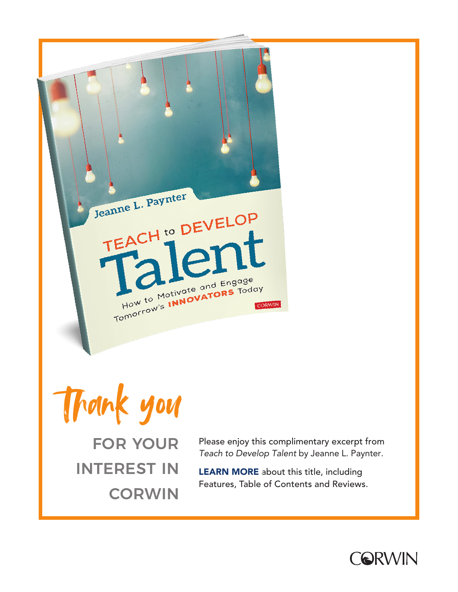

Thank you

FOR YOUR INTEREST IN **CORWIN** 

Please enjoy this complimentary excerpt from *T*each to Develop Talent by Jeanne L. Paynter*.*

**[LEARN MORE](https://us.corwin.com/en-us/nam/teach-to-develop-talent/book273138)** about this title, including Features, Table of Contents and Reviews.

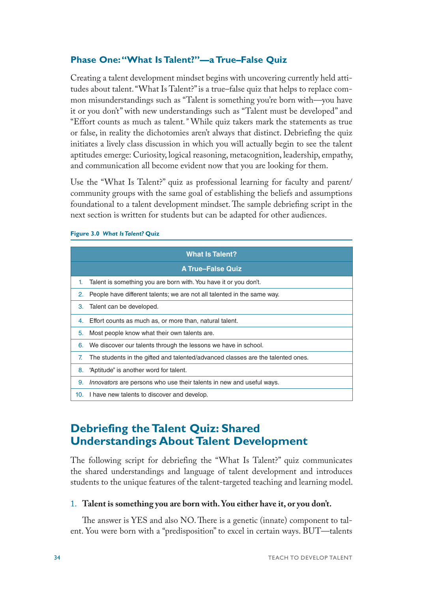# **Phase One: "What Is Talent?"—a True–False Quiz**

Creating a talent development mindset begins with uncovering currently held attitudes about talent. "What Is Talent?" is a true–false quiz that helps to replace common misunderstandings such as "Talent is something you're born with—you have it or you don't" with new understandings such as "Talent must be developed" and "Effort counts as much as talent*."* While quiz takers mark the statements as true or false, in reality the dichotomies aren't always that distinct. Debriefing the quiz initiates a lively class discussion in which you will actually begin to see the talent aptitudes emerge: Curiosity, logical reasoning, metacognition, leadership, empathy, and communication all become evident now that you are looking for them.

Use the "What Is Talent?" quiz as professional learning for faculty and parent/ community groups with the same goal of establishing the beliefs and assumptions foundational to a talent development mindset. The sample debriefing script in the next section is written for students but can be adapted for other audiences.

|     | <b>What Is Talent?</b>                                                          |
|-----|---------------------------------------------------------------------------------|
|     | <b>A True-False Quiz</b>                                                        |
| 1.  | Talent is something you are born with. You have it or you don't.                |
| 2.  | People have different talents; we are not all talented in the same way.         |
| 3.  | Talent can be developed.                                                        |
| 4.  | Effort counts as much as, or more than, natural talent.                         |
| 5.  | Most people know what their own talents are.                                    |
| 6.  | We discover our talents through the lessons we have in school.                  |
| 7.  | The students in the gifted and talented/advanced classes are the talented ones. |
| 8.  | "Aptitude" is another word for talent.                                          |
| 9.  | <i>Innovators</i> are persons who use their talents in new and useful ways.     |
| 10. | I have new talents to discover and develop.                                     |

#### **Figure 3.0** *What Is Talent?* **Quiz**

# **Debriefing the Talent Quiz: Shared Understandings About Talent Development**

The following script for debriefing the "What Is Talent?" quiz communicates the shared understandings and language of talent development and introduces students to the unique features of the talent-targeted teaching and learning model.

## 1. **Talent is something you are born with. You either have it, or you don't.**

The answer is YES and also NO. There is a genetic (innate) component to talent. You were born with a "predisposition" to excel in certain ways. BUT—talents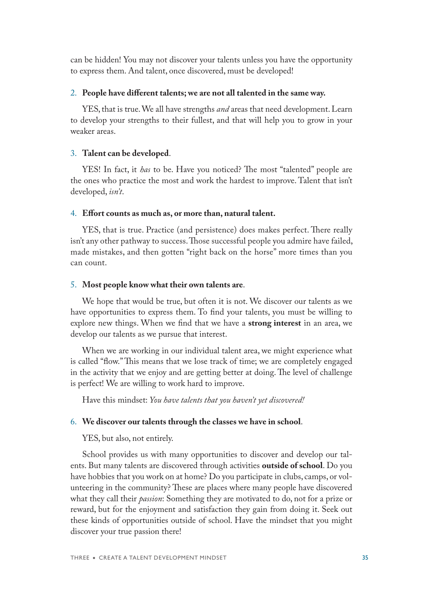can be hidden! You may not discover your talents unless you have the opportunity to express them. And talent, once discovered, must be developed!

## 2. **People have different talents; we are not all talented in the same way.**

YES, that is true. We all have strengths *and* areas that need development. Learn to develop your strengths to their fullest, and that will help you to grow in your weaker areas.

#### 3. **Talent can be developed**.

YES! In fact, it *has* to be. Have you noticed? The most "talented" people are the ones who practice the most and work the hardest to improve. Talent that isn't developed, *isn't*.

#### 4. **Effort counts as much as, or more than, natural talent.**

YES, that is true. Practice (and persistence) does makes perfect. There really isn't any other pathway to success. Those successful people you admire have failed, made mistakes, and then gotten "right back on the horse" more times than you can count.

## 5. **Most people know what their own talents are**.

We hope that would be true, but often it is not. We discover our talents as we have opportunities to express them. To find your talents, you must be willing to explore new things. When we find that we have a **strong interest** in an area, we develop our talents as we pursue that interest.

When we are working in our individual talent area, we might experience what is called "flow." This means that we lose track of time; we are completely engaged in the activity that we enjoy and are getting better at doing. The level of challenge is perfect! We are willing to work hard to improve.

Have this mindset: *You have talents that you haven't yet discovered!*

## 6. **We discover our talents through the classes we have in school**.

YES, but also, not entirely.

School provides us with many opportunities to discover and develop our talents. But many talents are discovered through activities **outside of school**. Do you have hobbies that you work on at home? Do you participate in clubs, camps, or volunteering in the community? These are places where many people have discovered what they call their *passion*: Something they are motivated to do, not for a prize or reward, but for the enjoyment and satisfaction they gain from doing it. Seek out these kinds of opportunities outside of school. Have the mindset that you might discover your true passion there!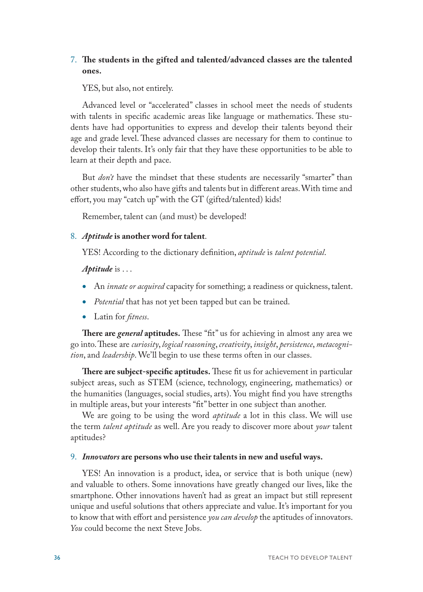## 7. **The students in the gifted and talented/advanced classes are the talented ones.**

YES, but also, not entirely.

Advanced level or "accelerated" classes in school meet the needs of students with talents in specific academic areas like language or mathematics. These students have had opportunities to express and develop their talents beyond their age and grade level. These advanced classes are necessary for them to continue to develop their talents. It's only fair that they have these opportunities to be able to learn at their depth and pace.

But *don't* have the mindset that these students are necessarily "smarter" than other students, who also have gifts and talents but in different areas. With time and effort, you may "catch up" with the GT (gifted/talented) kids!

Remember, talent can (and must) be developed!

## 8. *Aptitude* **is another word for talent**.

YES! According to the dictionary definition, *aptitude* is *talent potential*.

*Aptitude* is . . .

- An *innate or acquired* capacity for something; a readiness or quickness, talent.
- *Potential* that has not yet been tapped but can be trained.
- Latin for *fitness*.

**There are** *general* **aptitudes.** These "fit" us for achieving in almost any area we go into. These are *curiosity*, *logical reasoning*, *creativity*, *insight*, *persistence*, *metacognition*, and *leadership*. We'll begin to use these terms often in our classes.

**There are subject-specific aptitudes.** These fit us for achievement in particular subject areas, such as STEM (science, technology, engineering, mathematics) or the humanities (languages, social studies, arts). You might find you have strengths in multiple areas, but your interests "fit" better in one subject than another.

We are going to be using the word *aptitude* a lot in this class. We will use the term *talent aptitude* as well. Are you ready to discover more about *your* talent aptitudes?

## 9. *Innovators* **are persons who use their talents in new and useful ways.**

YES! An innovation is a product, idea, or service that is both unique (new) and valuable to others. Some innovations have greatly changed our lives, like the smartphone. Other innovations haven't had as great an impact but still represent unique and useful solutions that others appreciate and value. It's important for you to know that with effort and persistence *you can develop* the aptitudes of innovators. *You* could become the next Steve Jobs.